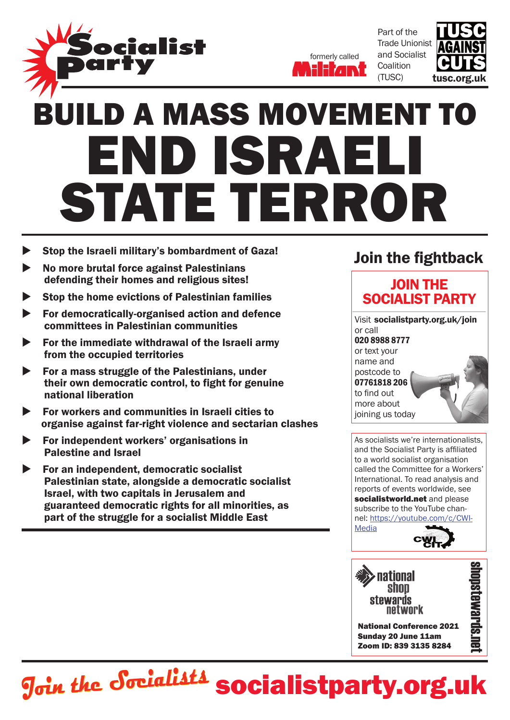



Part of the Trade Unionist and Socialist **Coalition** (TUSC)



## END ISRAI state terror build a mass movement to

- Stop the Israeli military's bombardment of Gaza!
- No more brutal force against Palestinians defending their homes and religious sites!
- Stop the home evictions of Palestinian families
- For democratically-organised action and defence committees in Palestinian communities
- For the immediate withdrawal of the Israeli army from the occupied territories
- For a mass struggle of the Palestinians, under their own democratic control, to fight for genuine national liberation
- For workers and communities in Israeli cities to organise against far-right violence and sectarian clashes
- For independent workers' organisations in Palestine and Israel
- For an independent, democratic socialist Palestinian state, alongside a democratic socialist Israel, with two capitals in Jerusalem and guaranteed democratic rights for all minorities, as part of the struggle for a socialist Middle East

## Join the fightback

## JOIN THE SOCIALIST party

Visit socialistparty.org.uk/join or call 020 8988 8777 or text your name and postcode to 07761818 206 to find out more about joining us today

As socialists we're internationalists, and the Socialist Party is affiliated to a world socialist organisation called the Committee for a Workers' International. To read analysis and reports of events worldwide, see socialistworld.net and please subscribe to the YouTube channel: https://youtube.com/c/CWI-Media



National Conference 2021 Sunday 20 June 11am Zoom ID: 839 3135 8284

**Join the Socialists socialist party.org.uk**